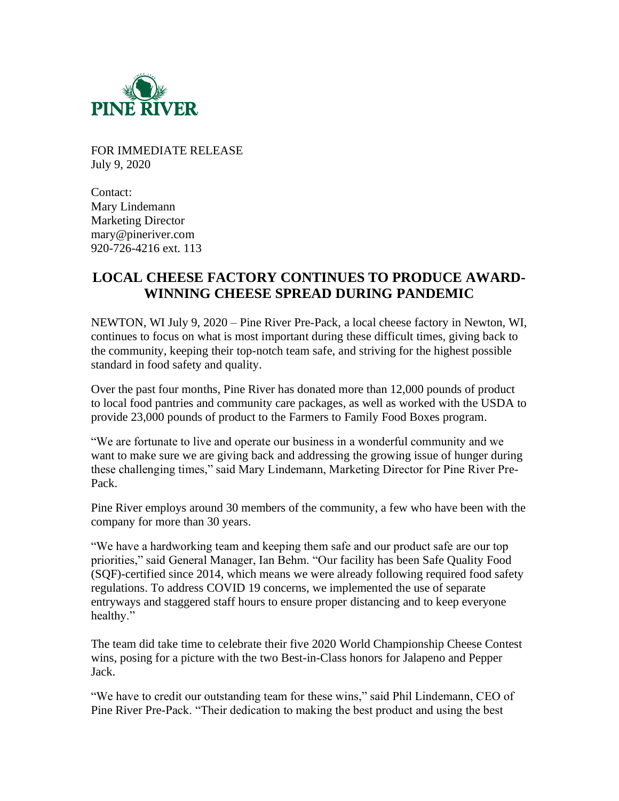

FOR IMMEDIATE RELEASE July 9, 2020

Contact: Mary Lindemann Marketing Director mary@pineriver.com 920-726-4216 ext. 113

## **LOCAL CHEESE FACTORY CONTINUES TO PRODUCE AWARD-WINNING CHEESE SPREAD DURING PANDEMIC**

NEWTON, WI July 9, 2020 – Pine River Pre-Pack, a local cheese factory in Newton, WI, continues to focus on what is most important during these difficult times, giving back to the community, keeping their top-notch team safe, and striving for the highest possible standard in food safety and quality.

Over the past four months, Pine River has donated more than 12,000 pounds of product to local food pantries and community care packages, as well as worked with the USDA to provide 23,000 pounds of product to the Farmers to Family Food Boxes program.

"We are fortunate to live and operate our business in a wonderful community and we want to make sure we are giving back and addressing the growing issue of hunger during these challenging times," said Mary Lindemann, Marketing Director for Pine River Pre-Pack.

Pine River employs around 30 members of the community, a few who have been with the company for more than 30 years.

"We have a hardworking team and keeping them safe and our product safe are our top priorities," said General Manager, Ian Behm. "Our facility has been Safe Quality Food (SQF)-certified since 2014, which means we were already following required food safety regulations. To address COVID 19 concerns, we implemented the use of separate entryways and staggered staff hours to ensure proper distancing and to keep everyone healthy."

The team did take time to celebrate their five 2020 World Championship Cheese Contest wins, posing for a picture with the two Best-in-Class honors for Jalapeno and Pepper Jack.

"We have to credit our outstanding team for these wins," said Phil Lindemann, CEO of Pine River Pre-Pack. "Their dedication to making the best product and using the best